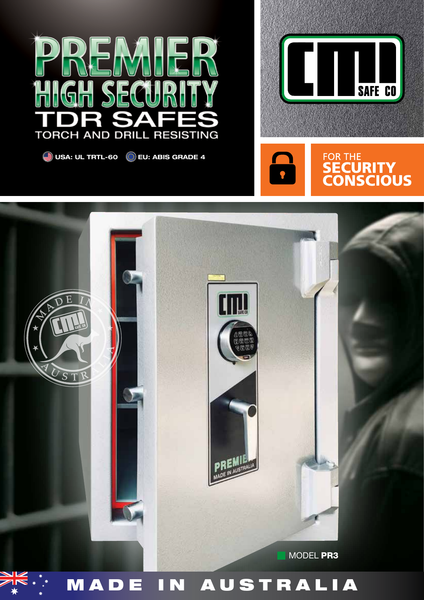

**USA: UL TRTL-60 EU: ABIS GRADE 4**







# MADE IN AUSTRALIA